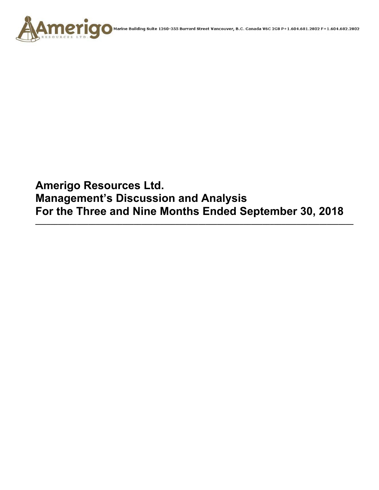

# **Amerigo Resources Ltd. Management's Discussion and Analysis For the Three and Nine Months Ended September 30, 2018**

**\_\_\_\_\_\_\_\_\_\_\_\_\_\_\_\_\_\_\_\_\_\_\_\_\_\_\_\_\_\_\_\_\_\_\_\_\_\_\_\_\_\_\_\_\_\_\_\_\_\_\_\_\_\_\_\_\_\_\_\_\_\_\_\_\_\_\_\_\_\_\_\_\_\_\_\_\_\_\_\_\_\_\_\_**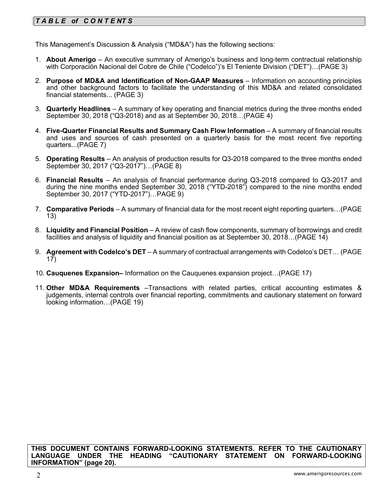# *T A B L E of C O N T E NT S*

This Management's Discussion & Analysis ("MD&A") has the following sections:

- 1. **About Amerigo**  An executive summary of Amerigo's business and long-term contractual relationship with Corporación Nacional del Cobre de Chile ("Codelco")'s El Teniente Division ("DET")…(PAGE 3)
- 2. **Purpose of MD&A and Identification of Non-GAAP Measures**  Information on accounting principles and other background factors to facilitate the understanding of this MD&A and related consolidated financial statements... (PAGE 3)
- 3. **Quarterly Headlines** A summary of key operating and financial metrics during the three months ended September 30, 2018 ("Q3-2018) and as at September 30, 2018…(PAGE 4)
- 4. **Five-Quarter Financial Results and Summary Cash Flow Information**  A summary of financial results and uses and sources of cash presented on a quarterly basis for the most recent five reporting quarters...(PAGE 7)
- 5. **Operating Results** An analysis of production results for Q3-2018 compared to the three months ended September 30, 2017 ("Q3-2017")…(PAGE 8)
- 6. **Financial Results**  An analysis of financial performance during Q3-2018 compared to Q3-2017 and during the nine months ended September 30, 2018 ("YTD-2018") compared to the nine months ended September 30, 2017 ("YTD-2017")…PAGE 9)
- 7. **Comparative Periods** A summary of financial data for the most recent eight reporting quarters…(PAGE 13)
- 8. **Liquidity and Financial Position** A review of cash flow components, summary of borrowings and credit facilities and analysis of liquidity and financial position as at September 30, 2018…(PAGE 14)
- 9. **Agreement with Codelco's DET** A summary of contractual arrangements with Codelco's DET… (PAGE 17)
- 10. **Cauquenes Expansion–** Information on the Cauquenes expansion project…(PAGE 17)
- 11. **Other MD&A Requirements** –Transactions with related parties, critical accounting estimates & judgements, internal controls over financial reporting, commitments and cautionary statement on forward looking information…(PAGE 19)

**THIS DOCUMENT CONTAINS FORWARD-LOOKING STATEMENTS. REFER TO THE CAUTIONARY LANGUAGE UNDER THE HEADING "CAUTIONARY STATEMENT ON FORWARD-LOOKING INFORMATION" (page 20).**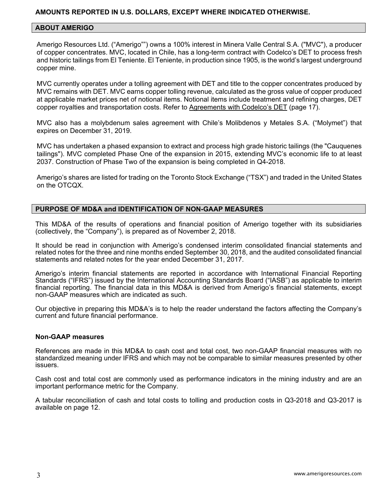# **AMOUNTS REPORTED IN U.S. DOLLARS, EXCEPT WHERE INDICATED OTHERWISE.**

## **ABOUT AMERIGO**

Amerigo Resources Ltd. ("Amerigo"") owns a 100% interest in Minera Valle Central S.A. ("MVC"), a producer of copper concentrates. MVC, located in Chile, has a long-term contract with Codelco's DET to process fresh and historic tailings from El Teniente. El Teniente, in production since 1905, is the world's largest underground copper mine.

MVC currently operates under a tolling agreement with DET and title to the copper concentrates produced by MVC remains with DET. MVC earns copper tolling revenue, calculated as the gross value of copper produced at applicable market prices net of notional items. Notional items include treatment and refining charges, DET copper royalties and transportation costs. Refer to Agreements with Codelco's DET (page 17).

MVC also has a molybdenum sales agreement with Chile's Molibdenos y Metales S.A. ("Molymet") that expires on December 31, 2019.

MVC has undertaken a phased expansion to extract and process high grade historic tailings (the "Cauquenes tailings"). MVC completed Phase One of the expansion in 2015, extending MVC's economic life to at least 2037. Construction of Phase Two of the expansion is being completed in Q4-2018.

Amerigo's shares are listed for trading on the Toronto Stock Exchange ("TSX") and traded in the United States on the OTCQX.

## **PURPOSE OF MD&A and IDENTIFICATION OF NON-GAAP MEASURES**

This MD&A of the results of operations and financial position of Amerigo together with its subsidiaries (collectively, the "Company"), is prepared as of November 2, 2018.

It should be read in conjunction with Amerigo's condensed interim consolidated financial statements and related notes for the three and nine months ended September 30, 2018, and the audited consolidated financial statements and related notes for the year ended December 31, 2017.

Amerigo's interim financial statements are reported in accordance with International Financial Reporting Standards ("IFRS") issued by the International Accounting Standards Board ("IASB") as applicable to interim financial reporting. The financial data in this MD&A is derived from Amerigo's financial statements, except non-GAAP measures which are indicated as such.

Our objective in preparing this MD&A's is to help the reader understand the factors affecting the Company's current and future financial performance.

#### **Non-GAAP measures**

References are made in this MD&A to cash cost and total cost, two non-GAAP financial measures with no standardized meaning under IFRS and which may not be comparable to similar measures presented by other issuers.

Cash cost and total cost are commonly used as performance indicators in the mining industry and are an important performance metric for the Company.

A tabular reconciliation of cash and total costs to tolling and production costs in Q3-2018 and Q3-2017 is available on page 12.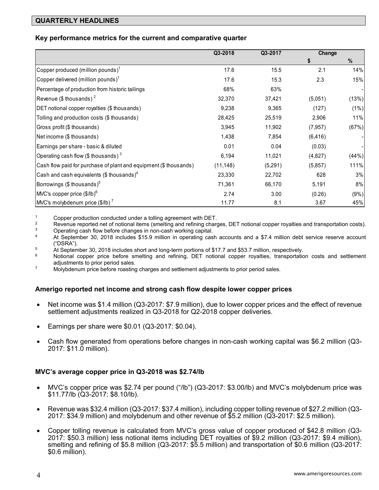## **QUARTERLY HEADLINES**

## **Key performance metrics for the current and comparative quarter**

|                                                                   | Q3-2018   | Q3-2017 | Change   |         |
|-------------------------------------------------------------------|-----------|---------|----------|---------|
|                                                                   |           |         |          | $\%$    |
| Copper produced (million pounds) $1$                              | 17.6      | 15.5    | 2.1      | 14%     |
| Copper delivered (million pounds) <sup>1</sup>                    | 17.6      | 15.3    | 2.3      | 15%     |
| Percentage of production from historic tailings                   | 68%       | 63%     |          |         |
| Revenue (\$ thousands) <sup>2</sup>                               | 32,370    | 37,421  | (5,051)  | (13%)   |
| DET notional copper royalties (\$ thous ands)                     | 9,238     | 9,365   | (127)    | $(1\%)$ |
| Tolling and production costs (\$ thousands)                       | 28,425    | 25,519  | 2,906    | 11%     |
| Gross profit (\$ thousands)                                       | 3,945     | 11,902  | (7, 957) | (67%)   |
| Net income (\$ thousands)                                         | 1,438     | 7,854   | (6, 416) |         |
| Earnings per share - basic & diluted                              | 0.01      | 0.04    | (0.03)   |         |
| Operating cash flow (\$ thousands) $3$                            | 6,194     | 11,021  | (4,827)  | (44%)   |
| Cash flow paid for purchase of plant and equipment (\$ thousands) | (11, 148) | (5,291) | (5,857)  | 111%    |
| Cash and cash equivalents (\$ thousands) <sup>4</sup>             | 23,330    | 22,702  | 628      | 3%      |
| Borrowings (\$ thousands) <sup>5</sup>                            | 71,361    | 66,170  | 5,191    | 8%      |
| MVC's copper price $(\frac{4}{16})^6$                             | 2.74      | 3.00    | (0.26)   | (9%)    |
| $\sqrt{\text{MVC's molyddenum price } (\text{\$/lb})^2}$          | 11.77     | 8.1     | 3.67     | 45%     |

- Copper production conducted under a tolling agreement with DET.<br>
Pevenue reported net of notional items (smelting and refining charges, DET notional copper royalties and transportation costs).<br>
Operating cash flow before c
- ("DSRA").
- 
- $5$  At September 30, 2018 includes short and long-term portions of \$17.7 and \$53.7 million, respectively.<br><sup>6</sup> Notional copper price before smelting and refining, DET notional copper royalties, transportation costs and set adjustments to prior period sales.<br><sup>7</sup> Molybdenum price before roasting charges and settlement adjustments to prior period sales.
- 

#### **Amerigo reported net income and strong cash flow despite lower copper prices**

- Net income was \$1.4 million (Q3-2017: \$7.9 million), due to lower copper prices and the effect of revenue settlement adjustments realized in Q3-2018 for Q2-2018 copper deliveries.
- **Earnings per share were**  $$0.01$  **(Q3-2017:**  $$0.04$ **).**
- Cash flow generated from operations before changes in non-cash working capital was \$6.2 million (Q3- 2017: \$11.0 million).

# **MVC's average copper price in Q3-2018 was \$2.74/lb**

- MVC's copper price was \$2.74 per pound ("/lb") (Q3-2017: \$3.00/lb) and MVC's molybdenum price was \$11.77/lb (Q3-2017: \$8.10/lb).
- Revenue was \$32.4 million (Q3-2017: \$37.4 million), including copper tolling revenue of \$27.2 million (Q3- 2017: \$34.9 million) and molybdenum and other revenue of \$5.2 million (Q3-2017: \$2.5 million).
- Copper tolling revenue is calculated from MVC's gross value of copper produced of \$42.8 million (Q3- 2017: \$50.3 million) less notional items including DET royalties of \$9.2 million (Q3-2017: \$9.4 million), smelting and refining of \$5.8 million (Q3-2017: \$5.5 million) and transportation of \$0.6 million (Q3-2017: \$0.6 million).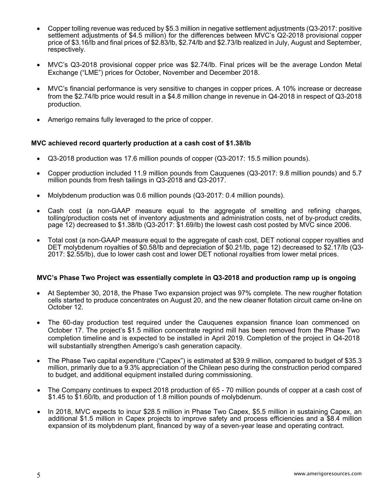- Copper tolling revenue was reduced by \$5.3 million in negative settlement adjustments (Q3-2017: positive settlement adjustments of \$4.5 million) for the differences between MVC's Q2-2018 provisional copper price of \$3.16/lb and final prices of \$2.83/lb, \$2.74/lb and \$2.73/lb realized in July, August and September, respectively.
- MVC's Q3-2018 provisional copper price was \$2.74/lb. Final prices will be the average London Metal Exchange ("LME") prices for October, November and December 2018.
- MVC's financial performance is very sensitive to changes in copper prices. A 10% increase or decrease from the \$2.74/lb price would result in a \$4.8 million change in revenue in Q4-2018 in respect of Q3-2018 production.
- Amerigo remains fully leveraged to the price of copper.

## **MVC achieved record quarterly production at a cash cost of \$1.38/lb**

- Q3-2018 production was 17.6 million pounds of copper (Q3-2017: 15.5 million pounds).
- Copper production included 11.9 million pounds from Cauquenes (Q3-2017: 9.8 million pounds) and 5.7 million pounds from fresh tailings in Q3-2018 and Q3-2017.
- Molybdenum production was 0.6 million pounds (Q3-2017: 0.4 million pounds).
- Cash cost (a non-GAAP measure equal to the aggregate of smelting and refining charges, tolling/production costs net of inventory adjustments and administration costs, net of by-product credits, page 12) decreased to \$1.38/lb (Q3-2017: \$1.69/lb) the lowest cash cost posted by MVC since 2006.
- Total cost (a non-GAAP measure equal to the aggregate of cash cost, DET notional copper royalties and DET molybdenum royalties of \$0.58/lb and depreciation of \$0.21/lb, page 12) decreased to \$2.17/lb (Q3- 2017: \$2.55/lb), due to lower cash cost and lower DET notional royalties from lower metal prices.

#### **MVC's Phase Two Project was essentially complete in Q3-2018 and production ramp up is ongoing**

- At September 30, 2018, the Phase Two expansion project was 97% complete. The new rougher flotation cells started to produce concentrates on August 20, and the new cleaner flotation circuit came on-line on October 12.
- The 60-day production test required under the Cauquenes expansion finance loan commenced on October 17. The project's \$1.5 million concentrate regrind mill has been removed from the Phase Two completion timeline and is expected to be installed in April 2019. Completion of the project in Q4-2018 will substantially strengthen Amerigo's cash generation capacity.
- The Phase Two capital expenditure ("Capex") is estimated at \$39.9 million, compared to budget of \$35.3 million, primarily due to a 9.3% appreciation of the Chilean peso during the construction period compared to budget, and additional equipment installed during commissioning.
- The Company continues to expect 2018 production of 65 70 million pounds of copper at a cash cost of \$1.45 to \$1.60/lb, and production of 1.8 million pounds of molybdenum.
- In 2018, MVC expects to incur \$28.5 million in Phase Two Capex, \$5.5 million in sustaining Capex, an additional \$1.5 million in Capex projects to improve safety and process efficiencies and a \$8.4 million expansion of its molybdenum plant, financed by way of a seven-year lease and operating contract.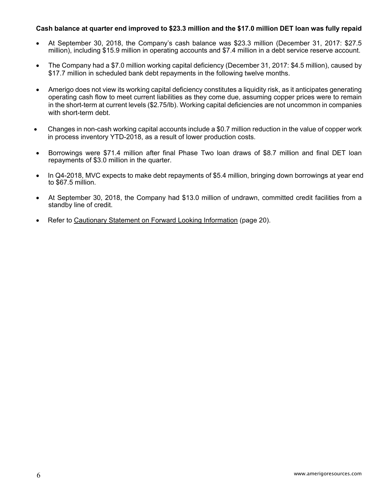#### **Cash balance at quarter end improved to \$23.3 million and the \$17.0 million DET loan was fully repaid**

- At September 30, 2018, the Company's cash balance was \$23.3 million (December 31, 2017: \$27.5 million), including \$15.9 million in operating accounts and \$7.4 million in a debt service reserve account.
- The Company had a \$7.0 million working capital deficiency (December 31, 2017: \$4.5 million), caused by \$17.7 million in scheduled bank debt repayments in the following twelve months.
- Amerigo does not view its working capital deficiency constitutes a liquidity risk, as it anticipates generating operating cash flow to meet current liabilities as they come due, assuming copper prices were to remain in the short-term at current levels (\$2.75/lb). Working capital deficiencies are not uncommon in companies with short-term debt.
- Changes in non-cash working capital accounts include a \$0.7 million reduction in the value of copper work in process inventory YTD-2018, as a result of lower production costs.
- Borrowings were \$71.4 million after final Phase Two loan draws of \$8.7 million and final DET loan repayments of \$3.0 million in the quarter.
- In Q4-2018, MVC expects to make debt repayments of \$5.4 million, bringing down borrowings at year end to \$67.5 million.
- At September 30, 2018, the Company had \$13.0 million of undrawn, committed credit facilities from a standby line of credit.
- Refer to Cautionary Statement on Forward Looking Information (page 20).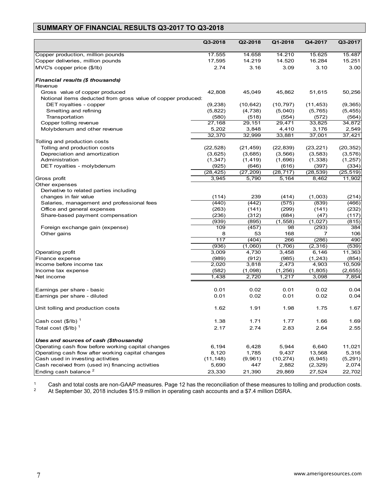# **SUMMARY OF FINANCIAL RESULTS Q3-2017 TO Q3-2018**

|                                                              | Q3-2018   | Q2-2018   | Q1-2018         | Q4-2017   | Q3-2017   |
|--------------------------------------------------------------|-----------|-----------|-----------------|-----------|-----------|
| Copper production, million pounds                            | 17.555    | 14.658    | 14.210          | 15.625    | 15.487    |
| Copper deliveries, million pounds                            | 17,595    | 14.219    | 14.520          | 16.284    | 15.251    |
| MVC's copper price (\$/lb)                                   | 2.74      | 3.16      | 3.09            | 3.10      | 3.00      |
| Financial results (\$ thousands)                             |           |           |                 |           |           |
| Revenue                                                      |           |           |                 |           |           |
| Gross value of copper produced                               | 42,808    | 45,049    | 45,862          | 51,615    | 50,256    |
| Notional items deducted from gross value of copper produced: |           |           |                 |           |           |
| DET royalties - copper                                       | (9, 238)  | (10, 642) | (10, 797)       | (11, 453) | (9, 365)  |
| Smelting and refining                                        | (5,822)   | (4,738)   | (5,040)         | (5,765)   | (5, 455)  |
| Transportation                                               | (580)     | (518)     | (554)           | (572)     | (564)     |
| Copper tolling revenue                                       | 27,168    | 29,151    | 29,471          | 33,825    | 34,872    |
| Molybdenum and other revenue                                 | 5,202     | 3,848     | 4,410           | 3,176     | 2,549     |
|                                                              | 32,370    | 32,999    | 33,881          | 37,001    | 37,421    |
| Tolling and production costs                                 |           |           |                 |           |           |
| Tolling and production costs                                 | (22, 528) | (21, 459) | (22, 839)       | (23, 221) | (20, 352) |
| Depreciation and amortization                                | (3,625)   | (3,685)   | (3, 566)        | (3, 583)  | (3, 576)  |
| Administration                                               |           |           |                 |           |           |
|                                                              | (1, 347)  | (1, 419)  | (1,696)         | (1, 338)  | (1, 257)  |
| DET royalties - molybdenum                                   | (925)     | (646)     | (616)           | (397)     | (334)     |
|                                                              | (28, 425) | (27, 209) | (28, 717)       | (28, 539) | (25, 519) |
| Gross profit                                                 | 3,945     | 5,790     | 5,164           | 8,462     | 11,902    |
| Other expenses                                               |           |           |                 |           |           |
| Derivative to related parties including                      |           |           |                 |           |           |
| changes in fair value                                        | (114)     | 239       | (414)           | (1,003)   | (214)     |
| Salaries, management and professional fees                   | (440)     | (442)     | (575)           | (839)     | (466)     |
| Office and general expenses                                  | (263)     | (141)     | (299)           | (141)     | (232)     |
| Share-based payment compensation                             | (236)     | (312)     | (684)           | (47)      | (117)     |
|                                                              | (939)     | (895)     | (1, 558)        | (1,027)   | (815)     |
| Foreign exchange gain (expense)                              | 109       | (457)     | $\overline{98}$ | (293)     | 384       |
| Other gains                                                  | 8         | 53        | 168             | 7         | 106       |
|                                                              | 117       | (404)     | 266             | (286)     | 490       |
|                                                              | (936)     | (1,060)   | (1,706)         | (2,316)   | (539)     |
| Operating profit                                             | 3,009     | 4,730     | 3,458           | 6,146     | 11,363    |
| Finance expense                                              | (989)     | (912)     | (985)           | (1, 243)  | (854)     |
| Income before income tax                                     | 2,020     | 3,818     | 2,473           | 4,903     | 10,509    |
| Income tax expense                                           | (582)     | (1,098)   | (1, 256)        | (1,805)   | (2,655)   |
| Net income                                                   | 1,438     | 2,720     | 1,217           | 3,098     | 7,854     |
|                                                              |           |           |                 |           |           |
| Earnings per share - basic                                   | 0.01      | 0.02      | 0.01            | 0.02      | 0.04      |
| Earnings per share - diluted                                 | 0.01      | 0.02      | 0.01            | 0.02      | 0.04      |
| Unit tolling and production costs                            | 1.62      | 1.91      | 1.98            | 1.75      | 1.67      |
| Cash cost $(\$/IB)^1$                                        | 1.38      | 1.71      | 1.77            | 1.66      | 1.69      |
| Total cost $($/lb)^1$                                        | 2.17      | 2.74      | 2.83            | 2.64      | 2.55      |
| Uses and sources of cash (\$thousands)                       |           |           |                 |           |           |
| Operating cash flow before working capital changes           | 6,194     | 6,428     | 5,944           | 6,640     | 11,021    |
| Operating cash flow after working capital changes            | 8,120     | 1,785     | 9,437           | 13,568    | 5,316     |
| Cash used in investing activities                            | (11, 148) | (9,961)   | (10, 274)       | (6, 945)  | (5, 291)  |
|                                                              |           |           |                 |           |           |
| Cash received from (used in) financing activities            | 5,690     | 447       | 2,882           | (2,329)   | 2,074     |
| Ending cash balance <sup>2</sup>                             | 23,330    | 21,390    | 29,869          | 27,524    | 22,702    |

 $1 -$  Cash and total costs are non-GAAP measures. Page 12 has the reconciliation of these measures to tolling and production costs.

<sup>2</sup> At September 30, 2018 includes \$15.9 million in operating cash accounts and a \$7.4 million DSRA.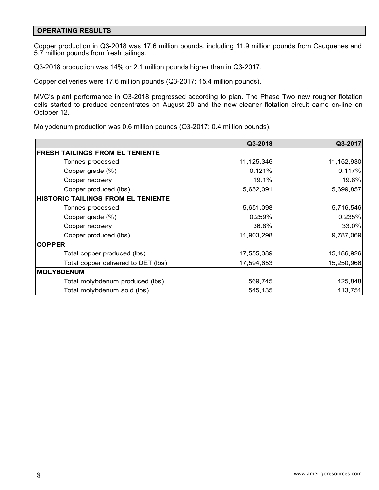# **OPERATING RESULTS**

Copper production in Q3-2018 was 17.6 million pounds, including 11.9 million pounds from Cauquenes and 5.7 million pounds from fresh tailings.

Q3-2018 production was 14% or 2.1 million pounds higher than in Q3-2017.

Copper deliveries were 17.6 million pounds (Q3-2017: 15.4 million pounds).

MVC's plant performance in Q3-2018 progressed according to plan. The Phase Two new rougher flotation cells started to produce concentrates on August 20 and the new cleaner flotation circuit came on-line on October 12.

Molybdenum production was 0.6 million pounds (Q3-2017: 0.4 million pounds).

|                                        | Q3-2018    | Q3-2017      |
|----------------------------------------|------------|--------------|
| <b>FRESH TAILINGS FROM EL TENIENTE</b> |            |              |
| Tonnes processed                       | 11,125,346 | 11, 152, 930 |
| Copper grade (%)                       | 0.121%     | 0.117%       |
| Copper recovery                        | 19.1%      | 19.8%        |
| Copper produced (lbs)                  | 5,652,091  | 5,699,857    |
| HISTORIC TAILINGS FROM EL TENIENTE     |            |              |
| Tonnes processed                       | 5,651,098  | 5,716,546    |
| Copper grade (%)                       | 0.259%     | 0.235%       |
| Copper recovery                        | 36.8%      | 33.0%        |
| Copper produced (lbs)                  | 11,903,298 | 9,787,069    |
| <b>COPPER</b>                          |            |              |
| Total copper produced (lbs)            | 17,555,389 | 15,486,926   |
| Total copper delivered to DET (lbs)    | 17,594,653 | 15,250,966   |
| <b>MOLYBDENUM</b>                      |            |              |
| Total molybdenum produced (lbs)        | 569,745    | 425,848      |
| Total molybdenum sold (lbs)            | 545,135    | 413,751      |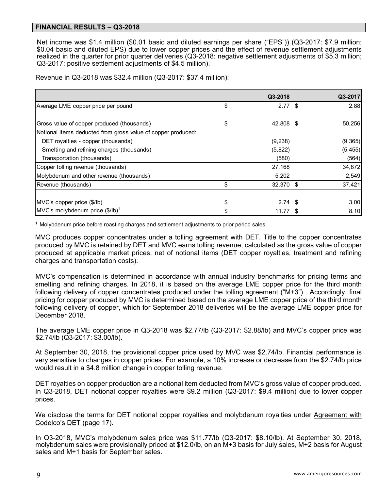# **FINANCIAL RESULTS – Q3-2018**

Net income was \$1.4 million (\$0.01 basic and diluted earnings per share ("EPS")) (Q3-2017: \$7.9 million; \$0.04 basic and diluted EPS) due to lower copper prices and the effect of revenue settlement adjustments realized in the quarter for prior quarter deliveries (Q3-2018: negative settlement adjustments of \$5.3 million; Q3-2017: positive settlement adjustments of \$4.5 million).

Revenue in Q3-2018 was \$32.4 million (Q3-2017: \$37.4 million):

|                                                                                                    |    | Q3-2018   | Q3-2017  |
|----------------------------------------------------------------------------------------------------|----|-----------|----------|
| Average LME copper price per pound                                                                 | \$ | $2.77$ \$ | 2.88     |
| Gross value of copper produced (thousands)                                                         | \$ | 42,808 \$ | 50,256   |
| Notional items deducted from gross value of copper produced:<br>DET royalties - copper (thousands) |    | (9,238)   | (9, 365) |
| Smelting and refining charges (thousands)                                                          |    | (5,822)   | (5, 455) |
| Transportation (thousands)                                                                         |    | (580)     | (564)    |
| Copper tolling revenue (thousands)                                                                 |    | 27,168    | 34,872   |
| Molybdenum and other revenue (thousands)                                                           |    | 5,202     | 2,549    |
| Revenue (thousands)                                                                                | \$ | 32,370 \$ | 37,421   |
| MVC's copper price (\$/lb)                                                                         | S  | $2.74$ \$ | 3.00     |
| MVC's molybdenum price (\$/lb) <sup>1</sup>                                                        |    | 11.77S    | 8.10     |

<sup>1</sup> Molybdenum price before roasting charges and settlement adjustments to prior period sales.

MVC produces copper concentrates under a tolling agreement with DET. Title to the copper concentrates produced by MVC is retained by DET and MVC earns tolling revenue, calculated as the gross value of copper produced at applicable market prices, net of notional items (DET copper royalties, treatment and refining charges and transportation costs).

MVC's compensation is determined in accordance with annual industry benchmarks for pricing terms and smelting and refining charges. In 2018, it is based on the average LME copper price for the third month following delivery of copper concentrates produced under the tolling agreement ("M+3"). Accordingly, final pricing for copper produced by MVC is determined based on the average LME copper price of the third month following delivery of copper, which for September 2018 deliveries will be the average LME copper price for December 2018.

The average LME copper price in Q3-2018 was \$2.77/lb (Q3-2017: \$2.88/lb) and MVC's copper price was \$2.74/lb (Q3-2017: \$3.00/lb).

At September 30, 2018, the provisional copper price used by MVC was \$2.74/lb. Financial performance is very sensitive to changes in copper prices. For example, a 10% increase or decrease from the \$2.74/lb price would result in a \$4.8 million change in copper tolling revenue.

DET royalties on copper production are a notional item deducted from MVC's gross value of copper produced. In Q3-2018, DET notional copper royalties were \$9.2 million (Q3-2017: \$9.4 million) due to lower copper prices.

We disclose the terms for DET notional copper royalties and molybdenum royalties under Agreement with Codelco's DET (page 17).

In Q3-2018, MVC's molybdenum sales price was \$11.77/lb (Q3-2017: \$8.10/lb). At September 30, 2018, molybdenum sales were provisionally priced at \$12.0/lb, on an M+3 basis for July sales, M+2 basis for August sales and M+1 basis for September sales.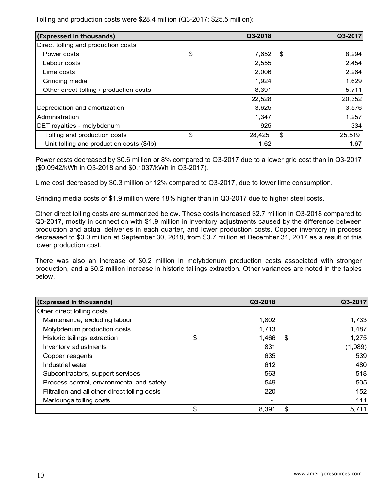Tolling and production costs were \$28.4 million (Q3-2017: \$25.5 million):

| (Expressed in thousands)                  | Q3-2018      |      | Q3-2017 |
|-------------------------------------------|--------------|------|---------|
| Direct tolling and production costs       |              |      |         |
| Power costs                               | \$<br>7,652  | - \$ | 8,294   |
| Labour costs                              | 2,555        |      | 2,454   |
| Lime costs                                | 2,006        |      | 2,264   |
| Grinding media                            | 1,924        |      | 1,629   |
| Other direct tolling / production costs   | 8,391        |      | 5,711   |
|                                           | 22,528       |      | 20,352  |
| Depreciation and amortization             | 3,625        |      | 3,576   |
| Administration                            | 1,347        |      | 1,257   |
| DET royalties - molybdenum                | 925          |      | 334     |
| Tolling and production costs              | \$<br>28,425 | \$   | 25,519  |
| Unit tolling and production costs (\$/lb) | 1.62         |      | 1.67    |

Power costs decreased by \$0.6 million or 8% compared to Q3-2017 due to a lower grid cost than in Q3-2017 (\$0.0942/kWh in Q3-2018 and \$0.1037/kWh in Q3-2017).

Lime cost decreased by \$0.3 million or 12% compared to Q3-2017, due to lower lime consumption.

Grinding media costs of \$1.9 million were 18% higher than in Q3-2017 due to higher steel costs.

Other direct tolling costs are summarized below. These costs increased \$2.7 million in Q3-2018 compared to Q3-2017, mostly in connection with \$1.9 million in inventory adjustments caused by the difference between production and actual deliveries in each quarter, and lower production costs. Copper inventory in process decreased to \$3.0 million at September 30, 2018, from \$3.7 million at December 31, 2017 as a result of this lower production cost.

There was also an increase of \$0.2 million in molybdenum production costs associated with stronger production, and a \$0.2 million increase in historic tailings extraction. Other variances are noted in the tables below.

| (Expressed in thousands)                      | Q3-2018     | Q3-2017     |
|-----------------------------------------------|-------------|-------------|
| Other direct tolling costs                    |             |             |
| Maintenance, excluding labour                 | 1,802       | 1,733       |
| Molybdenum production costs                   | 1,713       | 1,487       |
| Historic tailings extraction                  | \$<br>1,466 | \$<br>1,275 |
| Inventory adjustments                         | 831         | (1,089)     |
| Copper reagents                               | 635         | 539         |
| Industrial water                              | 612         | 480         |
| Subcontractors, support services              | 563         | 518         |
| Process control, environmental and safety     | 549         | 505         |
| Filtration and all other direct tolling costs | 220         | 152         |
| Maricunga tolling costs                       |             | 111         |
|                                               | \$<br>8,391 | \$<br>5,711 |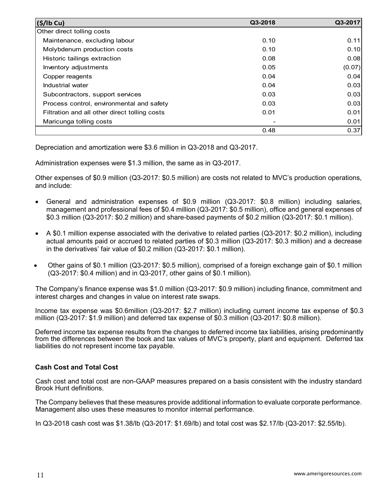| (S/lb Cu)                                     | Q3-2018 | Q3-2017 |
|-----------------------------------------------|---------|---------|
| Other direct tolling costs                    |         |         |
| Maintenance, excluding labour                 | 0.10    | 0.11    |
| Molybdenum production costs                   | 0.10    | 0.10    |
| Historic tailings extraction                  | 0.08    | 0.08    |
| Inventory adjustments                         | 0.05    | (0.07)  |
| Copper reagents                               | 0.04    | 0.04    |
| Industrial water                              | 0.04    | 0.03    |
| Subcontractors, support services              | 0.03    | 0.03    |
| Process control, environmental and safety     | 0.03    | 0.03    |
| Filtration and all other direct tolling costs | 0.01    | 0.01    |
| Maricunga tolling costs                       |         | 0.01    |
|                                               | 0.48    | 0.37    |

Depreciation and amortization were \$3.6 million in Q3-2018 and Q3-2017.

Administration expenses were \$1.3 million, the same as in Q3-2017.

Other expenses of \$0.9 million (Q3-2017: \$0.5 million) are costs not related to MVC's production operations, and include:

- General and administration expenses of \$0.9 million (Q3-2017: \$0.8 million) including salaries, management and professional fees of \$0.4 million (Q3-2017: \$0.5 million), office and general expenses of \$0.3 million (Q3-2017: \$0.2 million) and share-based payments of \$0.2 million (Q3-2017: \$0.1 million).
- A \$0.1 million expense associated with the derivative to related parties (Q3-2017: \$0.2 million), including actual amounts paid or accrued to related parties of \$0.3 million (Q3-2017: \$0.3 million) and a decrease in the derivatives' fair value of \$0.2 million (Q3-2017: \$0.1 million).
- Other gains of \$0.1 million (Q3-2017: \$0.5 million), comprised of a foreign exchange gain of \$0.1 million (Q3-2017: \$0.4 million) and in Q3-2017, other gains of \$0.1 million).

The Company's finance expense was \$1.0 million (Q3-2017: \$0.9 million) including finance, commitment and interest charges and changes in value on interest rate swaps.

Income tax expense was \$0.6million (Q3-2017: \$2.7 million) including current income tax expense of \$0.3 million (Q3-2017: \$1.9 million) and deferred tax expense of \$0.3 million (Q3-2017: \$0.8 million).

Deferred income tax expense results from the changes to deferred income tax liabilities, arising predominantly from the differences between the book and tax values of MVC's property, plant and equipment. Deferred tax liabilities do not represent income tax payable.

# **Cash Cost and Total Cost**

Cash cost and total cost are non-GAAP measures prepared on a basis consistent with the industry standard Brook Hunt definitions.

The Company believes that these measures provide additional information to evaluate corporate performance. Management also uses these measures to monitor internal performance.

In Q3-2018 cash cost was \$1.38/lb (Q3-2017: \$1.69/lb) and total cost was \$2.17/lb (Q3-2017: \$2.55/lb).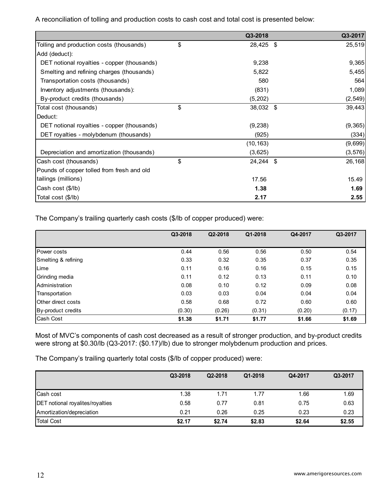A reconciliation of tolling and production costs to cash cost and total cost is presented below:

|                                             | Q3-2018         | Q3-2017  |
|---------------------------------------------|-----------------|----------|
| Tolling and production costs (thousands)    | \$<br>28,425 \$ | 25,519   |
| Add (deduct):                               |                 |          |
| DET notional royalties - copper (thousands) | 9,238           | 9,365    |
| Smelting and refining charges (thousands)   | 5,822           | 5,455    |
| Transportation costs (thousands)            | 580             | 564      |
| Inventory adjustments (thousands):          | (831)           | 1,089    |
| By-product credits (thousands)              | (5,202)         | (2, 549) |
| Total cost (thousands)                      | \$<br>38,032 \$ | 39,443   |
| Deduct:                                     |                 |          |
| DET notional royalties - copper (thousands) | (9, 238)        | (9,365)  |
| DET royalties - molybdenum (thousands)      | (925)           | (334)    |
|                                             | (10, 163)       | (9,699)  |
| Depreciation and amortization (thousands)   | (3,625)         | (3, 576) |
| Cash cost (thousands)                       | \$<br>24,244 \$ | 26,168   |
| Pounds of copper tolled from fresh and old  |                 |          |
| tailings (millions)                         | 17.56           | 15.49    |
| Cash cost (\$/lb)                           | 1.38            | 1.69     |
| Total cost (\$/lb)                          | 2.17            | 2.55     |

The Company's trailing quarterly cash costs (\$/lb of copper produced) were:

|                           | Q3-2018 | Q2-2018 | Q1-2018 | Q4-2017 | Q3-2017 |
|---------------------------|---------|---------|---------|---------|---------|
|                           |         |         |         |         |         |
| Power costs               | 0.44    | 0.56    | 0.56    | 0.50    | 0.54    |
| Smelting & refining       | 0.33    | 0.32    | 0.35    | 0.37    | 0.35    |
| Lime                      | 0.11    | 0.16    | 0.16    | 0.15    | 0.15    |
| Grinding media            | 0.11    | 0.12    | 0.13    | 0.11    | 0.10    |
| <b>Administration</b>     | 0.08    | 0.10    | 0.12    | 0.09    | 0.08    |
| Transportation            | 0.03    | 0.03    | 0.04    | 0.04    | 0.04    |
| <b>Other direct costs</b> | 0.58    | 0.68    | 0.72    | 0.60    | 0.60    |
| By-product credits        | (0.30)  | (0.26)  | (0.31)  | (0.20)  | (0.17)  |
| Cash Cost                 | \$1.38  | \$1.71  | \$1.77  | \$1.66  | \$1.69  |

Most of MVC's components of cash cost decreased as a result of stronger production, and by-product credits were strong at \$0.30/lb (Q3-2017: (\$0.17)/lb) due to stronger molybdenum production and prices.

The Company's trailing quarterly total costs (\$/lb of copper produced) were:

|                                         | Q3-2018 | Q2-2018 | Q1-2018 | Q4-2017 | Q3-2017 |
|-----------------------------------------|---------|---------|---------|---------|---------|
| Cash cost                               | 1.38    | 1.71    | 1.77    | 1.66    | 1.69    |
| <b>DET</b> notional royalites/royalties | 0.58    | 0.77    | 0.81    | 0.75    | 0.63    |
| Amortization/depreciation               | 0.21    | 0.26    | 0.25    | 0.23    | 0.23    |
| lTotal Cost                             | \$2.17  | \$2.74  | \$2.83  | \$2.64  | \$2.55  |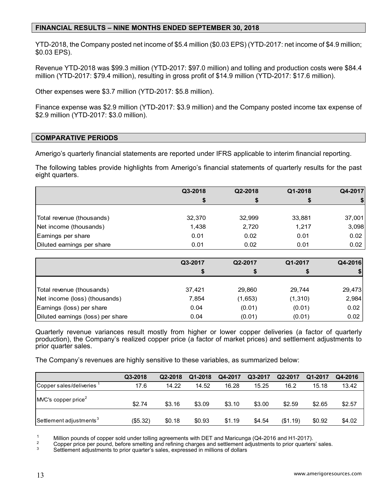# **FINANCIAL RESULTS – NINE MONTHS ENDED SEPTEMBER 30, 2018**

YTD-2018, the Company posted net income of \$5.4 million (\$0.03 EPS) (YTD-2017: net income of \$4.9 million; \$0.03 EPS).

Revenue YTD-2018 was \$99.3 million (YTD-2017: \$97.0 million) and tolling and production costs were \$84.4 million (YTD-2017: \$79.4 million), resulting in gross profit of \$14.9 million (YTD-2017: \$17.6 million).

Other expenses were \$3.7 million (YTD-2017: \$5.8 million).

Finance expense was \$2.9 million (YTD-2017: \$3.9 million) and the Company posted income tax expense of \$2.9 million (YTD-2017: \$3.0 million).

# **COMPARATIVE PERIODS**

Amerigo's quarterly financial statements are reported under IFRS applicable to interim financial reporting.

The following tables provide highlights from Amerigo's financial statements of quarterly results for the past eight quarters.

|                            | Q3-2018 | Q2-2018 | Q1-2018 | Q4-2017 |
|----------------------------|---------|---------|---------|---------|
|                            |         |         |         |         |
|                            |         |         |         |         |
| Total revenue (thousands)  | 32,370  | 32,999  | 33,881  | 37,001  |
| Net income (thousands)     | 1,438   | 2.720   | 1.217   | 3,098   |
| Earnings per share         | 0.01    | 0.02    | 0.01    | 0.02    |
| Diluted earnings per share | 0.01    | 0.02    | 0.01    | 0.02    |

|                                   | Q3-2017 | Q2-2017 | Q1-2017  | Q4-2016 |
|-----------------------------------|---------|---------|----------|---------|
|                                   |         |         | £.       |         |
|                                   |         |         |          |         |
| Total revenue (thousands)         | 37,421  | 29.860  | 29.744   | 29,473  |
| Net income (loss) (thousands)     | 7,854   | (1,653) | (1, 310) | 2,984   |
| Earnings (loss) per share         | 0.04    | (0.01)  | (0.01)   | 0.02    |
| Diluted earnings (loss) per share | 0.04    | (0.01)  | (0.01)   | 0.02    |

Quarterly revenue variances result mostly from higher or lower copper deliveries (a factor of quarterly production), the Company's realized copper price (a factor of market prices) and settlement adjustments to prior quarter sales.

The Company's revenues are highly sensitive to these variables, as summarized below:

|                                     | Q3-2018  | Q2-2018 | Q1-2018 | Q4-2017 | Q3-2017 | Q2-2017  | Q1-2017 | Q4-2016 |
|-------------------------------------|----------|---------|---------|---------|---------|----------|---------|---------|
| Copper sales/deliveries             | 17.6     | 14.22   | 14.52   | 16.28   | 15.25   | 16.2     | 15.18   | 13.42   |
| MVC's copper price <sup>2</sup>     | \$2.74   | \$3.16  | \$3.09  | \$3.10  | \$3.00  | \$2.59   | \$2.65  | \$2.57  |
| Settlement adjustments <sup>3</sup> | (\$5.32) | \$0.18  | \$0.93  | \$1.19  | \$4.54  | (\$1.19) | \$0.92  | \$4.02  |

<sup>1</sup> Million pounds of copper sold under tolling agreements with DET and Maricunga (Q4-2016 and H1-2017).<br><sup>2</sup> Copper price per pound, before smelting and refining charges and settlement adjustments to prior quarters' sales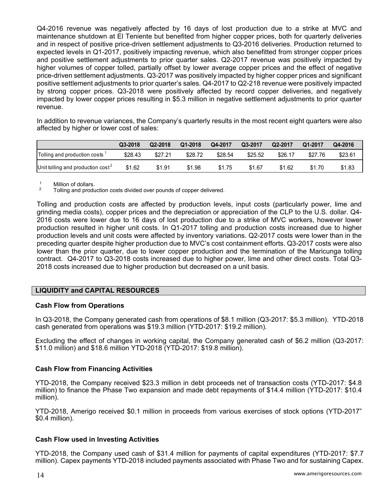Q4-2016 revenue was negatively affected by 16 days of lost production due to a strike at MVC and maintenance shutdown at El Teniente but benefited from higher copper prices, both for quarterly deliveries and in respect of positive price-driven settlement adjustments to Q3-2016 deliveries. Production returned to expected levels in Q1-2017, positively impacting revenue, which also benefitted from stronger copper prices and positive settlement adjustments to prior quarter sales. Q2-2017 revenue was positively impacted by higher volumes of copper tolled, partially offset by lower average copper prices and the effect of negative price-driven settlement adjustments. Q3-2017 was positively impacted by higher copper prices and significant positive settlement adjustments to prior quarter's sales. Q4-2017 to Q2-218 revenue were positively impacted by strong copper prices. Q3-2018 were positively affected by record copper deliveries, and negatively impacted by lower copper prices resulting in \$5.3 million in negative settlement adjustments to prior quarter revenue.

In addition to revenue variances, the Company's quarterly results in the most recent eight quarters were also affected by higher or lower cost of sales:

|                                      | Q3-2018 | Q2-2018 | Q1-2018 | Q4-2017 | Q3-2017 | Q2-2017 | Q1-2017 | Q4-2016 |
|--------------------------------------|---------|---------|---------|---------|---------|---------|---------|---------|
| Tolling and production costs         | \$28.43 | \$27.21 | \$28.72 | \$28.54 | \$25.52 | \$26.17 | \$27.76 | \$23.61 |
| Unit tolling and production $cost^2$ | \$1.62  | \$1.91  | \$1.98  | \$1.75  | \$1.67  | \$1.62  | \$1.70  | \$1.83  |

<sup>1</sup> Million of dollars.<br><sup>2</sup> Tolling and produ

2 Tolling and production costs divided over pounds of copper delivered.

Tolling and production costs are affected by production levels, input costs (particularly power, lime and grinding media costs), copper prices and the depreciation or appreciation of the CLP to the U.S. dollar. Q4- 2016 costs were lower due to 16 days of lost production due to a strike of MVC workers, however lower production resulted in higher unit costs. In Q1-2017 tolling and production costs increased due to higher production levels and unit costs were affected by inventory variations. Q2-2017 costs were lower than in the preceding quarter despite higher production due to MVC's cost containment efforts. Q3-2017 costs were also lower than the prior quarter, due to lower copper production and the termination of the Maricunga tolling contract. Q4-2017 to Q3-2018 costs increased due to higher power, lime and other direct costs. Total Q3- 2018 costs increased due to higher production but decreased on a unit basis.

# **LIQUIDITY and CAPITAL RESOURCES**

#### **Cash Flow from Operations**

In Q3-2018, the Company generated cash from operations of \$8.1 million (Q3-2017: \$5.3 million). YTD-2018 cash generated from operations was \$19.3 million (YTD-2017: \$19.2 million).

Excluding the effect of changes in working capital, the Company generated cash of \$6.2 million (Q3-2017: \$11.0 million) and \$18.6 million YTD-2018 (YTD-2017: \$19.8 million).

# **Cash Flow from Financing Activities**

YTD-2018, the Company received \$23.3 million in debt proceeds net of transaction costs (YTD-2017: \$4.8 million) to finance the Phase Two expansion and made debt repayments of \$14.4 million (YTD-2017: \$10.4 million).

YTD-2018, Amerigo received \$0.1 million in proceeds from various exercises of stock options (YTD-2017" \$0.4 million).

#### **Cash Flow used in Investing Activities**

YTD-2018, the Company used cash of \$31.4 million for payments of capital expenditures (YTD-2017: \$7.7 million). Capex payments YTD-2018 included payments associated with Phase Two and for sustaining Capex.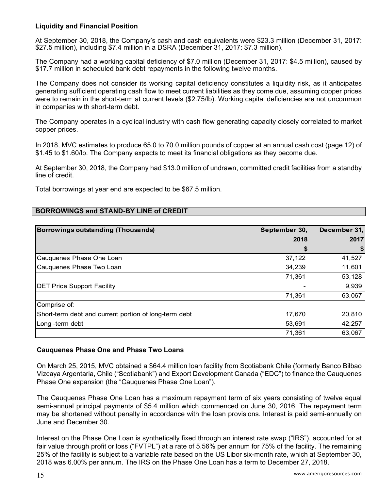# **Liquidity and Financial Position**

At September 30, 2018, the Company's cash and cash equivalents were \$23.3 million (December 31, 2017: \$27.5 million), including \$7.4 million in a DSRA (December 31, 2017: \$7.3 million).

The Company had a working capital deficiency of \$7.0 million (December 31, 2017: \$4.5 million), caused by \$17.7 million in scheduled bank debt repayments in the following twelve months.

The Company does not consider its working capital deficiency constitutes a liquidity risk, as it anticipates generating sufficient operating cash flow to meet current liabilities as they come due, assuming copper prices were to remain in the short-term at current levels (\$2.75/lb). Working capital deficiencies are not uncommon in companies with short-term debt.

The Company operates in a cyclical industry with cash flow generating capacity closely correlated to market copper prices.

In 2018, MVC estimates to produce 65.0 to 70.0 million pounds of copper at an annual cash cost (page 12) of \$1.45 to \$1.60/lb. The Company expects to meet its financial obligations as they become due.

At September 30, 2018, the Company had \$13.0 million of undrawn, committed credit facilities from a standby line of credit.

Total borrowings at year end are expected to be \$67.5 million.

# **BORROWINGS and STAND-BY LINE of CREDIT**

| Borrowings outstanding (Thousands)                    | September 30, | December 31, |
|-------------------------------------------------------|---------------|--------------|
|                                                       | 2018          | 2017         |
|                                                       |               |              |
| Cauquenes Phase One Loan                              | 37,122        | 41,527       |
| Cauquenes Phase Two Loan                              | 34,239        | 11,601       |
|                                                       | 71,361        | 53,128       |
| <b>DET Price Support Facility</b>                     |               | 9,939        |
|                                                       | 71,361        | 63,067       |
| Comprise of:                                          |               |              |
| Short-term debt and current portion of long-term debt | 17,670        | 20,810       |
| Long -term debt                                       | 53,691        | 42,257       |
|                                                       | 71,361        | 63,067       |

#### **Cauquenes Phase One and Phase Two Loans**

On March 25, 2015, MVC obtained a \$64.4 million loan facility from Scotiabank Chile (formerly Banco Bilbao Vizcaya Argentaria, Chile ("Scotiabank") and Export Development Canada ("EDC") to finance the Cauquenes Phase One expansion (the "Cauquenes Phase One Loan").

The Cauquenes Phase One Loan has a maximum repayment term of six years consisting of twelve equal semi-annual principal payments of \$5.4 million which commenced on June 30, 2016. The repayment term may be shortened without penalty in accordance with the loan provisions. Interest is paid semi-annually on June and December 30.

Interest on the Phase One Loan is synthetically fixed through an interest rate swap ("IRS"), accounted for at fair value through profit or loss ("FVTPL") at a rate of 5.56% per annum for 75% of the facility. The remaining 25% of the facility is subject to a variable rate based on the US Libor six-month rate, which at September 30, 2018 was 6.00% per annum. The IRS on the Phase One Loan has a term to December 27, 2018.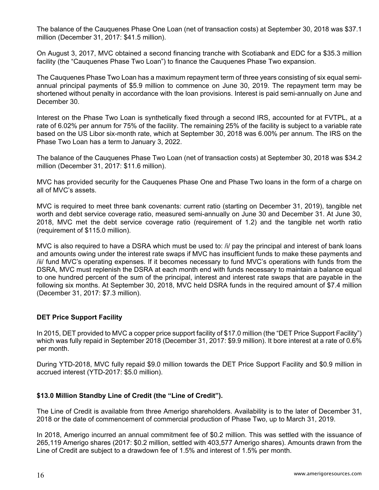The balance of the Cauquenes Phase One Loan (net of transaction costs) at September 30, 2018 was \$37.1 million (December 31, 2017: \$41.5 million).

On August 3, 2017, MVC obtained a second financing tranche with Scotiabank and EDC for a \$35.3 million facility (the "Cauquenes Phase Two Loan") to finance the Cauquenes Phase Two expansion.

 The Cauquenes Phase Two Loan has a maximum repayment term of three years consisting of six equal semiannual principal payments of \$5.9 million to commence on June 30, 2019. The repayment term may be shortened without penalty in accordance with the loan provisions. Interest is paid semi-annually on June and December 30.

 Interest on the Phase Two Loan is synthetically fixed through a second IRS, accounted for at FVTPL, at a rate of 6.02% per annum for 75% of the facility. The remaining 25% of the facility is subject to a variable rate based on the US Libor six-month rate, which at September 30, 2018 was 6.00% per annum. The IRS on the Phase Two Loan has a term to January 3, 2022.

The balance of the Cauquenes Phase Two Loan (net of transaction costs) at September 30, 2018 was \$34.2 million (December 31, 2017: \$11.6 million).

 MVC has provided security for the Cauquenes Phase One and Phase Two loans in the form of a charge on all of MVC's assets.

MVC is required to meet three bank covenants: current ratio (starting on December 31, 2019), tangible net worth and debt service coverage ratio, measured semi-annually on June 30 and December 31. At June 30, 2018, MVC met the debt service coverage ratio (requirement of 1.2) and the tangible net worth ratio (requirement of \$115.0 million).

MVC is also required to have a DSRA which must be used to: /i/ pay the principal and interest of bank loans and amounts owing under the interest rate swaps if MVC has insufficient funds to make these payments and /ii/ fund MVC's operating expenses. If it becomes necessary to fund MVC's operations with funds from the DSRA, MVC must replenish the DSRA at each month end with funds necessary to maintain a balance equal to one hundred percent of the sum of the principal, interest and interest rate swaps that are payable in the following six months. At September 30, 2018, MVC held DSRA funds in the required amount of \$7.4 million (December 31, 2017: \$7.3 million).

# **DET Price Support Facility**

In 2015, DET provided to MVC a copper price support facility of \$17.0 million (the "DET Price Support Facility") which was fully repaid in September 2018 (December 31, 2017: \$9.9 million). It bore interest at a rate of 0.6% per month.

During YTD-2018, MVC fully repaid \$9.0 million towards the DET Price Support Facility and \$0.9 million in accrued interest (YTD-2017: \$5.0 million).

# **\$13.0 Million Standby Line of Credit (the "Line of Credit").**

The Line of Credit is available from three Amerigo shareholders. Availability is to the later of December 31, 2018 or the date of commencement of commercial production of Phase Two, up to March 31, 2019.

In 2018, Amerigo incurred an annual commitment fee of \$0.2 million. This was settled with the issuance of 265,119 Amerigo shares (2017: \$0.2 million, settled with 403,577 Amerigo shares). Amounts drawn from the Line of Credit are subject to a drawdown fee of 1.5% and interest of 1.5% per month.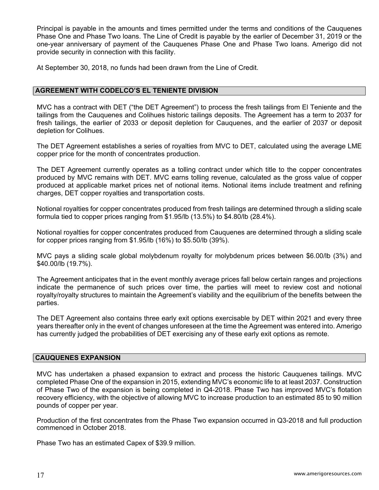Principal is payable in the amounts and times permitted under the terms and conditions of the Cauquenes Phase One and Phase Two loans. The Line of Credit is payable by the earlier of December 31, 2019 or the one-year anniversary of payment of the Cauquenes Phase One and Phase Two loans. Amerigo did not provide security in connection with this facility.

At September 30, 2018, no funds had been drawn from the Line of Credit.

## **AGREEMENT WITH CODELCO'S EL TENIENTE DIVISION**

MVC has a contract with DET ("the DET Agreement") to process the fresh tailings from El Teniente and the tailings from the Cauquenes and Colihues historic tailings deposits. The Agreement has a term to 2037 for fresh tailings, the earlier of 2033 or deposit depletion for Cauquenes, and the earlier of 2037 or deposit depletion for Colihues.

The DET Agreement establishes a series of royalties from MVC to DET, calculated using the average LME copper price for the month of concentrates production.

The DET Agreement currently operates as a tolling contract under which title to the copper concentrates produced by MVC remains with DET. MVC earns tolling revenue, calculated as the gross value of copper produced at applicable market prices net of notional items. Notional items include treatment and refining charges, DET copper royalties and transportation costs.

Notional royalties for copper concentrates produced from fresh tailings are determined through a sliding scale formula tied to copper prices ranging from \$1.95/lb (13.5%) to \$4.80/lb (28.4%).

Notional royalties for copper concentrates produced from Cauquenes are determined through a sliding scale for copper prices ranging from \$1.95/lb (16%) to \$5.50/lb (39%).

MVC pays a sliding scale global molybdenum royalty for molybdenum prices between \$6.00/lb (3%) and \$40.00/lb (19.7%).

The Agreement anticipates that in the event monthly average prices fall below certain ranges and projections indicate the permanence of such prices over time, the parties will meet to review cost and notional royalty/royalty structures to maintain the Agreement's viability and the equilibrium of the benefits between the parties.

The DET Agreement also contains three early exit options exercisable by DET within 2021 and every three years thereafter only in the event of changes unforeseen at the time the Agreement was entered into. Amerigo has currently judged the probabilities of DET exercising any of these early exit options as remote.

#### **CAUQUENES EXPANSION**

MVC has undertaken a phased expansion to extract and process the historic Cauquenes tailings. MVC completed Phase One of the expansion in 2015, extending MVC's economic life to at least 2037. Construction of Phase Two of the expansion is being completed in Q4-2018. Phase Two has improved MVC's flotation recovery efficiency, with the objective of allowing MVC to increase production to an estimated 85 to 90 million pounds of copper per year.

Production of the first concentrates from the Phase Two expansion occurred in Q3-2018 and full production commenced in October 2018.

Phase Two has an estimated Capex of \$39.9 million.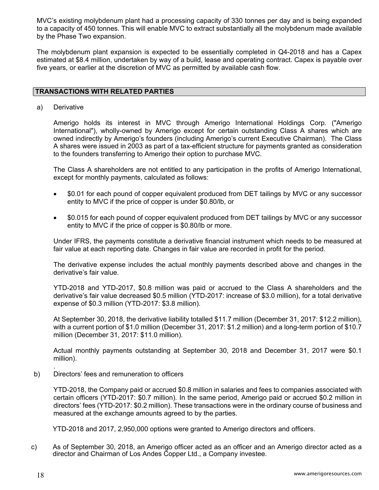MVC's existing molybdenum plant had a processing capacity of 330 tonnes per day and is being expanded to a capacity of 450 tonnes. This will enable MVC to extract substantially all the molybdenum made available by the Phase Two expansion.

The molybdenum plant expansion is expected to be essentially completed in Q4-2018 and has a Capex estimated at \$8.4 million, undertaken by way of a build, lease and operating contract. Capex is payable over five years, or earlier at the discretion of MVC as permitted by available cash flow.

## **TRANSACTIONS WITH RELATED PARTIES**

a) Derivative

Amerigo holds its interest in MVC through Amerigo International Holdings Corp. ("Amerigo International"), wholly-owned by Amerigo except for certain outstanding Class A shares which are owned indirectly by Amerigo's founders (including Amerigo's current Executive Chairman). The Class A shares were issued in 2003 as part of a tax-efficient structure for payments granted as consideration to the founders transferring to Amerigo their option to purchase MVC.

The Class A shareholders are not entitled to any participation in the profits of Amerigo International, except for monthly payments, calculated as follows:

- \$0.01 for each pound of copper equivalent produced from DET tailings by MVC or any successor entity to MVC if the price of copper is under \$0.80/lb, or
- \$0.015 for each pound of copper equivalent produced from DET tailings by MVC or any successor entity to MVC if the price of copper is \$0.80/lb or more.

Under IFRS, the payments constitute a derivative financial instrument which needs to be measured at fair value at each reporting date. Changes in fair value are recorded in profit for the period.

The derivative expense includes the actual monthly payments described above and changes in the derivative's fair value.

YTD-2018 and YTD-2017, \$0.8 million was paid or accrued to the Class A shareholders and the derivative's fair value decreased \$0.5 million (YTD-2017: increase of \$3.0 million), for a total derivative expense of \$0.3 million (YTD-2017: \$3.8 million).

At September 30, 2018, the derivative liability totalled \$11.7 million (December 31, 2017: \$12.2 million), with a current portion of \$1.0 million (December 31, 2017: \$1.2 million) and a long-term portion of \$10.7 million (December 31, 2017: \$11.0 million).

Actual monthly payments outstanding at September 30, 2018 and December 31, 2017 were \$0.1 million).

b) Directors' fees and remuneration to officers

 YTD-2018, the Company paid or accrued \$0.8 million in salaries and fees to companies associated with certain officers (YTD-2017: \$0.7 million). In the same period, Amerigo paid or accrued \$0.2 million in directors' fees (YTD-2017: \$0.2 million). These transactions were in the ordinary course of business and measured at the exchange amounts agreed to by the parties.

YTD-2018 and 2017, 2,950,000 options were granted to Amerigo directors and officers.

c) As of September 30, 2018, an Amerigo officer acted as an officer and an Amerigo director acted as a director and Chairman of Los Andes Copper Ltd., a Company investee.

.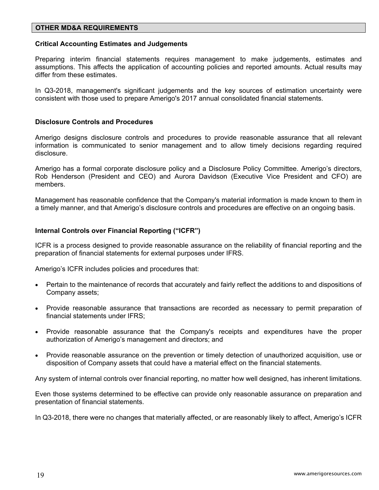#### **OTHER MD&A REQUIREMENTS**

#### **Critical Accounting Estimates and Judgements**

Preparing interim financial statements requires management to make judgements, estimates and assumptions. This affects the application of accounting policies and reported amounts. Actual results may differ from these estimates.

In Q3-2018, management's significant judgements and the key sources of estimation uncertainty were consistent with those used to prepare Amerigo's 2017 annual consolidated financial statements.

#### **Disclosure Controls and Procedures**

Amerigo designs disclosure controls and procedures to provide reasonable assurance that all relevant information is communicated to senior management and to allow timely decisions regarding required disclosure.

Amerigo has a formal corporate disclosure policy and a Disclosure Policy Committee. Amerigo's directors, Rob Henderson (President and CEO) and Aurora Davidson (Executive Vice President and CFO) are members.

Management has reasonable confidence that the Company's material information is made known to them in a timely manner, and that Amerigo's disclosure controls and procedures are effective on an ongoing basis.

#### **Internal Controls over Financial Reporting ("ICFR")**

ICFR is a process designed to provide reasonable assurance on the reliability of financial reporting and the preparation of financial statements for external purposes under IFRS.

Amerigo's ICFR includes policies and procedures that:

- Pertain to the maintenance of records that accurately and fairly reflect the additions to and dispositions of Company assets;
- Provide reasonable assurance that transactions are recorded as necessary to permit preparation of financial statements under IFRS;
- Provide reasonable assurance that the Company's receipts and expenditures have the proper authorization of Amerigo's management and directors; and
- Provide reasonable assurance on the prevention or timely detection of unauthorized acquisition, use or disposition of Company assets that could have a material effect on the financial statements.

Any system of internal controls over financial reporting, no matter how well designed, has inherent limitations.

Even those systems determined to be effective can provide only reasonable assurance on preparation and presentation of financial statements.

In Q3-2018, there were no changes that materially affected, or are reasonably likely to affect, Amerigo's ICFR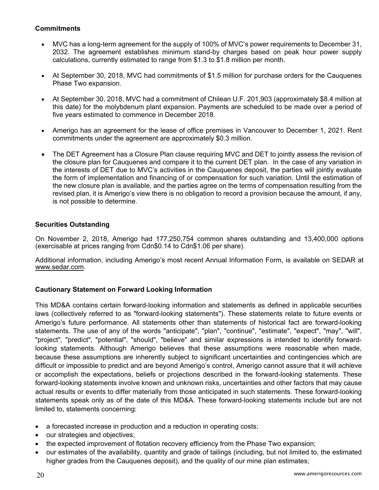# **Commitments**

- MVC has a long-term agreement for the supply of 100% of MVC's power requirements to December 31, 2032. The agreement establishes minimum stand-by charges based on peak hour power supply calculations, currently estimated to range from \$1.3 to \$1.8 million per month.
- At September 30, 2018, MVC had commitments of \$1.5 million for purchase orders for the Cauquenes Phase Two expansion.
- At September 30, 2018, MVC had a commitment of Chilean U.F. 201,903 (approximately \$8.4 million at this date) for the molybdenum plant expansion. Payments are scheduled to be made over a period of five years estimated to commence in December 2018.
- Amerigo has an agreement for the lease of office premises in Vancouver to December 1, 2021. Rent commitments under the agreement are approximately \$0.3 million.
- The DET Agreement has a Closure Plan clause requiring MVC and DET to jointly assess the revision of the closure plan for Cauquenes and compare it to the current DET plan. In the case of any variation in the interests of DET due to MVC's activities in the Cauquenes deposit, the parties will jointly evaluate the form of implementation and financing of or compensation for such variation. Until the estimation of the new closure plan is available, and the parties agree on the terms of compensation resulting from the revised plan, it is Amerigo's view there is no obligation to record a provision because the amount, if any, is not possible to determine.

# **Securities Outstanding**

On November 2, 2018, Amerigo had 177,250,754 common shares outstanding and 13,400,000 options (exercisable at prices ranging from Cdn\$0.14 to Cdn\$1.06 per share).

Additional information, including Amerigo's most recent Annual Information Form, is available on SEDAR at www.sedar.com.

# **Cautionary Statement on Forward Looking Information**

This MD&A contains certain forward-looking information and statements as defined in applicable securities laws (collectively referred to as "forward-looking statements"). These statements relate to future events or Amerigo's future performance. All statements other than statements of historical fact are forward-looking statements. The use of any of the words "anticipate", "plan", "continue", "estimate", "expect", "may", "will", "project", "predict", "potential", "should", "believe" and similar expressions is intended to identify forwardlooking statements. Although Amerigo believes that these assumptions were reasonable when made, because these assumptions are inherently subject to significant uncertainties and contingencies which are difficult or impossible to predict and are beyond Amerigo's control, Amerigo cannot assure that it will achieve or accomplish the expectations, beliefs or projections described in the forward-looking statements. These forward-looking statements involve known and unknown risks, uncertainties and other factors that may cause actual results or events to differ materially from those anticipated in such statements. These forward-looking statements speak only as of the date of this MD&A. These forward-looking statements include but are not limited to, statements concerning:

- a forecasted increase in production and a reduction in operating costs;
- our strategies and objectives;
- the expected improvement of flotation recovery efficiency from the Phase Two expansion;
- our estimates of the availability, quantity and grade of tailings (including, but not limited to, the estimated higher grades from the Cauquenes deposit), and the quality of our mine plan estimates;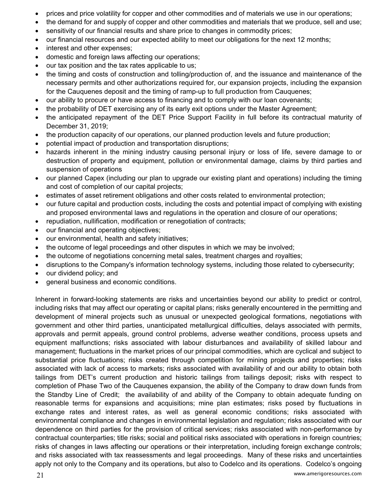- prices and price volatility for copper and other commodities and of materials we use in our operations;
- the demand for and supply of copper and other commodities and materials that we produce, sell and use;
- sensitivity of our financial results and share price to changes in commodity prices;
- our financial resources and our expected ability to meet our obligations for the next 12 months;
- interest and other expenses;
- domestic and foreign laws affecting our operations;
- our tax position and the tax rates applicable to us;
- the timing and costs of construction and tolling/production of, and the issuance and maintenance of the necessary permits and other authorizations required for, our expansion projects, including the expansion for the Cauquenes deposit and the timing of ramp-up to full production from Cauquenes;
- our ability to procure or have access to financing and to comply with our loan covenants;
- the probability of DET exercising any of its early exit options under the Master Agreement;
- the anticipated repayment of the DET Price Support Facility in full before its contractual maturity of December 31, 2019;
- the production capacity of our operations, our planned production levels and future production;
- potential impact of production and transportation disruptions;
- hazards inherent in the mining industry causing personal injury or loss of life, severe damage to or destruction of property and equipment, pollution or environmental damage, claims by third parties and suspension of operations
- our planned Capex (including our plan to upgrade our existing plant and operations) including the timing and cost of completion of our capital projects;
- estimates of asset retirement obligations and other costs related to environmental protection;
- our future capital and production costs, including the costs and potential impact of complying with existing and proposed environmental laws and regulations in the operation and closure of our operations;
- repudiation, nullification, modification or renegotiation of contracts;
- our financial and operating objectives;
- our environmental, health and safety initiatives;
- the outcome of legal proceedings and other disputes in which we may be involved;
- the outcome of negotiations concerning metal sales, treatment charges and royalties;
- disruptions to the Company's information technology systems, including those related to cybersecurity;
- our dividend policy; and
- general business and economic conditions.

Inherent in forward-looking statements are risks and uncertainties beyond our ability to predict or control, including risks that may affect our operating or capital plans; risks generally encountered in the permitting and development of mineral projects such as unusual or unexpected geological formations, negotiations with government and other third parties, unanticipated metallurgical difficulties, delays associated with permits, approvals and permit appeals, ground control problems, adverse weather conditions, process upsets and equipment malfunctions; risks associated with labour disturbances and availability of skilled labour and management; fluctuations in the market prices of our principal commodities, which are cyclical and subject to substantial price fluctuations; risks created through competition for mining projects and properties; risks associated with lack of access to markets; risks associated with availability of and our ability to obtain both tailings from DET's current production and historic tailings from tailings deposit; risks with respect to completion of Phase Two of the Cauquenes expansion, the ability of the Company to draw down funds from the Standby Line of Credit; the availability of and ability of the Company to obtain adequate funding on reasonable terms for expansions and acquisitions; mine plan estimates; risks posed by fluctuations in exchange rates and interest rates, as well as general economic conditions; risks associated with environmental compliance and changes in environmental legislation and regulation; risks associated with our dependence on third parties for the provision of critical services; risks associated with non-performance by contractual counterparties; title risks; social and political risks associated with operations in foreign countries; risks of changes in laws affecting our operations or their interpretation, including foreign exchange controls; and risks associated with tax reassessments and legal proceedings. Many of these risks and uncertainties apply not only to the Company and its operations, but also to Codelco and its operations. Codelco's ongoing